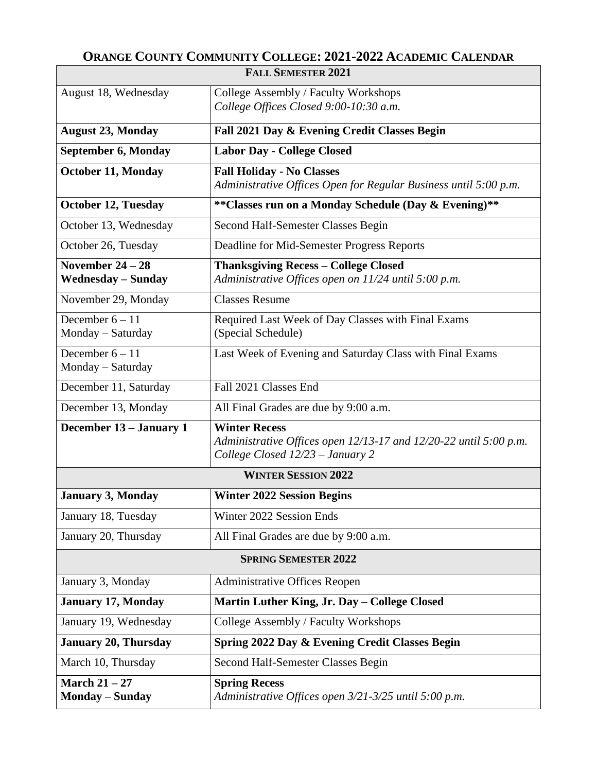## **ORANGE COUNTY COMMUNITY COLLEGE: 2021-2022 ACADEMIC CALENDAR**

| <b>FALL SEMESTER 2021</b>                 |                                                                                                       |
|-------------------------------------------|-------------------------------------------------------------------------------------------------------|
| August 18, Wednesday                      | College Assembly / Faculty Workshops<br>College Offices Closed 9:00-10:30 a.m.                        |
| <b>August 23, Monday</b>                  | Fall 2021 Day & Evening Credit Classes Begin                                                          |
| September 6, Monday                       | <b>Labor Day - College Closed</b>                                                                     |
| <b>October 11, Monday</b>                 | <b>Fall Holiday - No Classes</b>                                                                      |
|                                           | Administrative Offices Open for Regular Business until 5:00 p.m.                                      |
| <b>October 12, Tuesday</b>                | **Classes run on a Monday Schedule (Day & Evening)**                                                  |
| October 13, Wednesday                     | Second Half-Semester Classes Begin                                                                    |
| October 26, Tuesday                       | Deadline for Mid-Semester Progress Reports                                                            |
| November $24-28$                          | <b>Thanksgiving Recess - College Closed</b>                                                           |
| <b>Wednesday - Sunday</b>                 | Administrative Offices open on 11/24 until 5:00 p.m.                                                  |
| November 29, Monday                       | <b>Classes Resume</b>                                                                                 |
| December $6 - 11$                         | Required Last Week of Day Classes with Final Exams                                                    |
| Monday - Saturday                         | (Special Schedule)                                                                                    |
| December $6 - 11$                         | Last Week of Evening and Saturday Class with Final Exams                                              |
| Monday - Saturday                         |                                                                                                       |
| December 11, Saturday                     | Fall 2021 Classes End                                                                                 |
| December 13, Monday                       | All Final Grades are due by 9:00 a.m.                                                                 |
| December 13 - January 1                   | <b>Winter Recess</b>                                                                                  |
|                                           | Administrative Offices open 12/13-17 and 12/20-22 until 5:00 p.m.<br>College Closed 12/23 - January 2 |
|                                           | <b>WINTER SESSION 2022</b>                                                                            |
|                                           |                                                                                                       |
| <b>January 3, Monday</b>                  | <b>Winter 2022 Session Begins</b>                                                                     |
| January 18, Tuesday                       | Winter 2022 Session Ends                                                                              |
| January 20, Thursday                      | All Final Grades are due by 9:00 a.m.                                                                 |
| <b>SPRING SEMESTER 2022</b>               |                                                                                                       |
| January 3, Monday                         | <b>Administrative Offices Reopen</b>                                                                  |
| <b>January 17, Monday</b>                 | Martin Luther King, Jr. Day - College Closed                                                          |
| January 19, Wednesday                     | College Assembly / Faculty Workshops                                                                  |
| <b>January 20, Thursday</b>               | Spring 2022 Day & Evening Credit Classes Begin                                                        |
| March 10, Thursday                        | Second Half-Semester Classes Begin                                                                    |
| March $21 - 27$<br><b>Monday – Sunday</b> | <b>Spring Recess</b><br>Administrative Offices open 3/21-3/25 until 5:00 p.m.                         |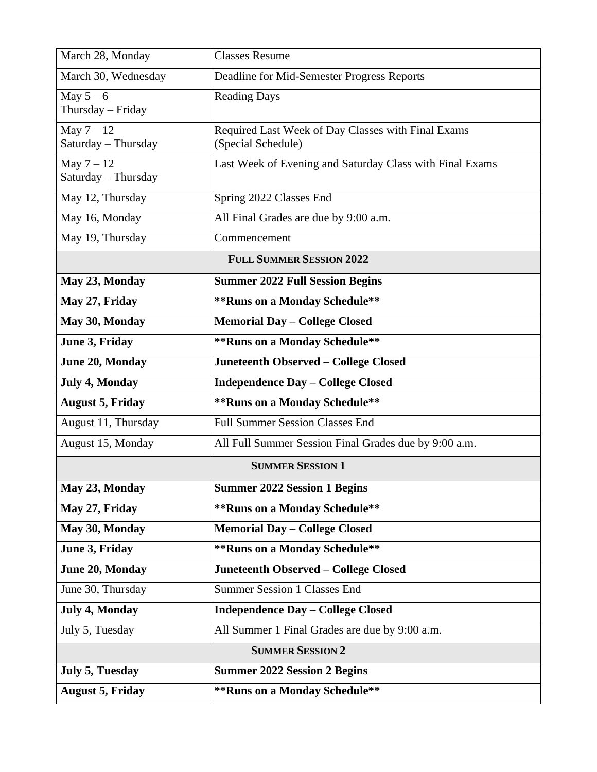| March 28, Monday                    | <b>Classes Resume</b>                                                    |  |
|-------------------------------------|--------------------------------------------------------------------------|--|
| March 30, Wednesday                 | Deadline for Mid-Semester Progress Reports                               |  |
| May $5-6$<br>Thursday - Friday      | <b>Reading Days</b>                                                      |  |
| May $7 - 12$<br>Saturday - Thursday | Required Last Week of Day Classes with Final Exams<br>(Special Schedule) |  |
| May $7 - 12$<br>Saturday - Thursday | Last Week of Evening and Saturday Class with Final Exams                 |  |
| May 12, Thursday                    | Spring 2022 Classes End                                                  |  |
| May 16, Monday                      | All Final Grades are due by 9:00 a.m.                                    |  |
| May 19, Thursday                    | Commencement                                                             |  |
| <b>FULL SUMMER SESSION 2022</b>     |                                                                          |  |
| May 23, Monday                      | <b>Summer 2022 Full Session Begins</b>                                   |  |
| May 27, Friday                      | ** Runs on a Monday Schedule**                                           |  |
| May 30, Monday                      | <b>Memorial Day - College Closed</b>                                     |  |
| June 3, Friday                      | ** Runs on a Monday Schedule**                                           |  |
| June 20, Monday                     | Juneteenth Observed - College Closed                                     |  |
| July 4, Monday                      | <b>Independence Day - College Closed</b>                                 |  |
|                                     |                                                                          |  |
| <b>August 5, Friday</b>             | ** Runs on a Monday Schedule**                                           |  |
| August 11, Thursday                 | <b>Full Summer Session Classes End</b>                                   |  |
| August 15, Monday                   | All Full Summer Session Final Grades due by 9:00 a.m.                    |  |
|                                     | <b>SUMMER SESSION 1</b>                                                  |  |
| May 23, Monday                      | <b>Summer 2022 Session 1 Begins</b>                                      |  |
| May 27, Friday                      | ** Runs on a Monday Schedule**                                           |  |
| May 30, Monday                      | <b>Memorial Day - College Closed</b>                                     |  |
| June 3, Friday                      | ** Runs on a Monday Schedule**                                           |  |
| June 20, Monday                     | <b>Juneteenth Observed - College Closed</b>                              |  |
| June 30, Thursday                   | <b>Summer Session 1 Classes End</b>                                      |  |
| July 4, Monday                      | <b>Independence Day - College Closed</b>                                 |  |
| July 5, Tuesday                     | All Summer 1 Final Grades are due by 9:00 a.m.                           |  |
|                                     | <b>SUMMER SESSION 2</b>                                                  |  |
| <b>July 5, Tuesday</b>              | <b>Summer 2022 Session 2 Begins</b><br>** Runs on a Monday Schedule**    |  |